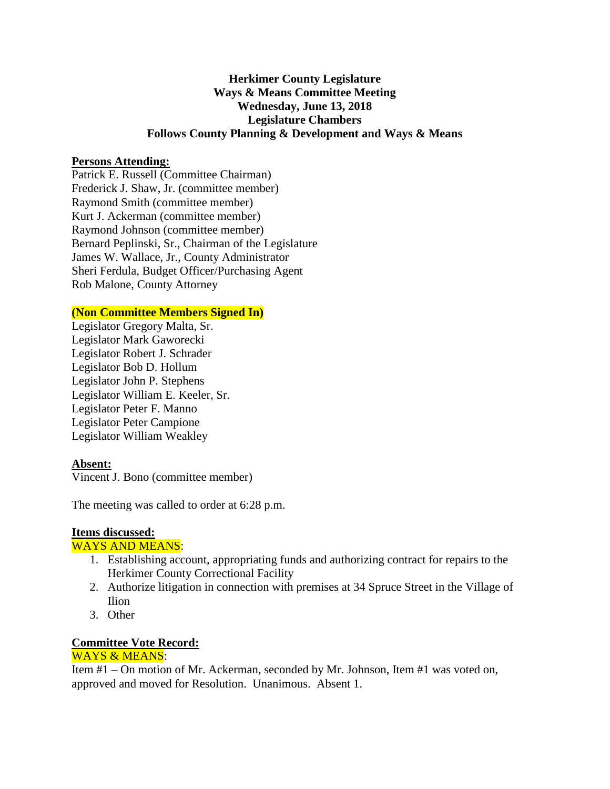# **Herkimer County Legislature Ways & Means Committee Meeting Wednesday, June 13, 2018 Legislature Chambers Follows County Planning & Development and Ways & Means**

## **Persons Attending:**

Patrick E. Russell (Committee Chairman) Frederick J. Shaw, Jr. (committee member) Raymond Smith (committee member) Kurt J. Ackerman (committee member) Raymond Johnson (committee member) Bernard Peplinski, Sr., Chairman of the Legislature James W. Wallace, Jr., County Administrator Sheri Ferdula, Budget Officer/Purchasing Agent Rob Malone, County Attorney

## **(Non Committee Members Signed In)**

Legislator Gregory Malta, Sr. Legislator Mark Gaworecki Legislator Robert J. Schrader Legislator Bob D. Hollum Legislator John P. Stephens Legislator William E. Keeler, Sr. Legislator Peter F. Manno Legislator Peter Campione Legislator William Weakley

## **Absent:**

Vincent J. Bono (committee member)

The meeting was called to order at 6:28 p.m.

#### **Items discussed:**

#### WAYS AND MEANS:

- 1. Establishing account, appropriating funds and authorizing contract for repairs to the Herkimer County Correctional Facility
- 2. Authorize litigation in connection with premises at 34 Spruce Street in the Village of Ilion
- 3. Other

## **Committee Vote Record:**

## WAYS & MEANS:

Item #1 – On motion of Mr. Ackerman, seconded by Mr. Johnson, Item #1 was voted on, approved and moved for Resolution. Unanimous. Absent 1.